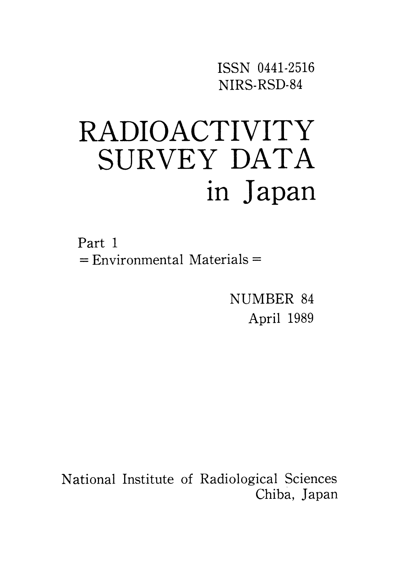ISSN 0441-2516 NIRS-RSD-84

# **RADIOACTIVITY** SURVEY DATA in Japan

Part 1  $=$  Environmental Materials  $=$ 

> NUMBER 84 April 1989

National Institute of Radiological Sciences Chiba, Japan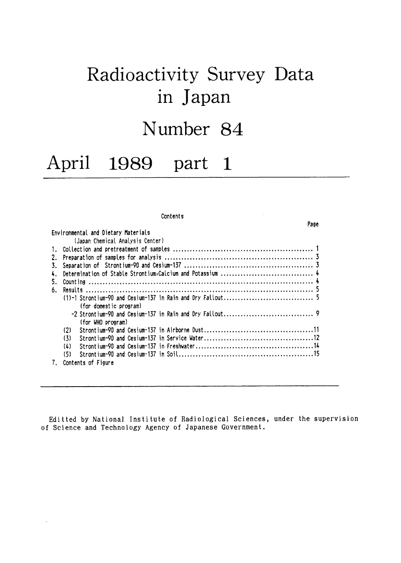# Radioactivity Survey Data in Japan

# Number 84

#### April 1989  $\blacksquare$ part

#### Contents

Environmental and Dietary Materials (Japan Chemical Analysis Center) (for domestic program) (for WHO program)  $(2)$  $(3)$  $(1)$  $(5)$ 7. Contents of Figure

Editted by National Institute of Radiological Sciences, under the supervision of Science and Technology Agency of Japanese Government.

Page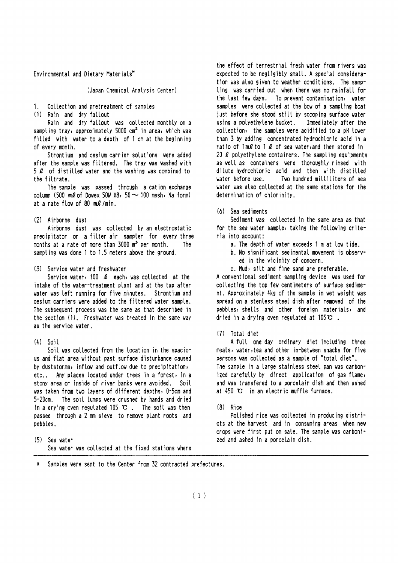Environmental and Dietary Materials\*

(Japan Chemical Analysis Center)

Collection and pretreatment of samples  $1 -$ 

(1) Rain and dry fallout

Rain and dry fallout was collected monthly on a sampling tray, approximately 5000 cm<sup>2</sup> in area, which was filled with water to a depth of 1 cm at the beginning of every month.

Strontium and cesium carrier solutions were added after the sample was filtered. The tray was washed with 5 *L* of distilled water and the washing was combined to the filtrate.

The sample was passed through a cation exchange column (500 m2 of Dowex 50W X8, 50  $\sim$  100 mesh, Na form) at a rate flow of 80  $m$ *l* /min.

#### (2) Airborne dust

Airborne dust was collected by an electrostatic precipitator or a filter air sampler for every three months at a rate of more than 3000 m<sup>3</sup> per month. The sampling was done 1 to 1.5 meters above the ground.

(3) Service vater and freshwater

Service water, 100 *L* each, was collected at the intake of the water-treatment plant and at the tap after vater vas left running for five minutes. Strontium and cesium carriers were added to the filtered water sample. The subsequent process was the same as that described in the section (1). Freshwater was treated in the same way as the service water.

#### $(4)$  Soil

Soil was collected from the location in the spacious and flat area without past surface disturbance caused by duststorms, inflow and outflow due to precipitation, etc.. Any places located under trees in a forest, in a stony area or inside of river banks were avoided. Soil was taken from two layers of different depths, 0-5cm and 5-20cm. The soil lumps were crushed by hands and dried in a drying oven regulated 105  $\mathbb{C}$ . The soil was then passed through a 2 mm sieve to remove plant roots and pebbles.

(5) Sea vater Sea water was collected at the fixed stations where the effect of terrestrial fresh water from rivers was expected to be negligibly small. A special consideration was also given to weather conditions. The sampling was carried out when there was no rainfall for the last few days. To prevent contamination, water samples were collected at the bow of a sampling boat just before she stood still by scooping surface water using a polyethylene bucket. Immediately after the collection, the samples were acidified to a pH lower than 3 by adding concentrated hydrochloric acid in a ratio of  $1 \text{ mQ}$  to 1  $\Omega$  of sea water, and then stored in 20  $\ell$  polyethylene containers. The sampling equipments as well as containers were thoroughly rinsed with dilute hydrochloric acid and then with distilled vater before use. Two hundred milliliters of sea water was also collected at the same stations for the determination of chlorinity.

 $(6)$  Sea sediments

Sediment was collected in the same area as that for the sea water sample, taking the following criteria into account:

- a. The depth of water exceeds 1 m at low tide.
- b. No significant sedimental movement is observed in the vicinity of concern.
- c. Mud, silt and fine sand are preferable.

A conventional sediment sampling device vas used for collecting the top few centimeters of surface sediment. Approximately 4kg of the sample in wet weight was spread on a stenless steel dish after removed of the pebbles, shells and other foreign materials, and dried in a drying oven regulated at  $105 \mathbf{C}$ .

#### (7) Total diet

A full one day ordinary diet including three meals, water, tea and other in-between snacks for five persons was collected as a sample of "total diet". The sample in a large stainless steel pan was carbonized carefully by direct application of gas flame, and was transfered to a porcelain dish and then ashed at 450 °C in an electric muffle furnace.

#### $(8)$  Rice

Polished rice was collected in producing districts at the harvest and in consuming areas when new crops were first put on sale. The sample was carbonized and ashed in a porcelain dish.

\* Samples were sent to the Center from 32 contracted prefectures.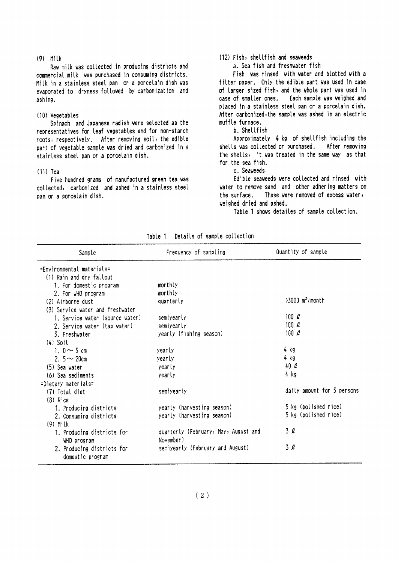#### $(9)$  Milk

Raw milk was collected in producing districts and commercial milk was purchased in consuming districts. Milk in a stainless steel pan or a porcelain dish was evaporated to dryness followed by carbonization and ashing.

#### (10) Vegetables

Spinach and Japanese radish were selected as the representatives for leaf vegetables and for non-starch roots, respectively. After removing soil, the edible part of vegetable sample was dried and carbonized in a stainless steel pan or a porcelain dish.

#### $(11)$  Tea

Five hundred grams of manufactured green tea was collected, carbonized and ashed in a stainless steel pan or a porcelain dish.

## (12) Fish, shellfish and seaveeds

a. Sea fish and freshwater fish

Fish was rinsed with water and blotted with a filter paper. Only the edible part was used in case of larger sized fish, and the whole part was used in case of smaller ones. Each sample was weighed and placed in a stainless steel pan or a porcelain dish. After carbonized, the sample was ashed in an electric muffle furnace.

## b. Shellfish

Approximately 4 kg of shellfish including the shells was collected or purchased. After removing the shells, it was treated in the same way as that for the sea fish.

c. Seaveeds

Edible seaveeds were collected and rinsed with water to remove sand and other adhering matters on the surface. These were removed of excess water, veighed dried and ashed.

Table 1 shows detailes of sample collection.

| Sample                           | Frequency of sampling                | Quantity of sample            |
|----------------------------------|--------------------------------------|-------------------------------|
| $=$ Fnyironmental materials $=$  |                                      |                               |
| (1) Rain and dry fallout         |                                      |                               |
| 1. For domestic program          | monthly                              |                               |
| 2. For WHO program               | monthly                              |                               |
| (2) Airborne dust                | quarterly                            | $>3000$ m <sup>3</sup> /month |
| (3) Service water and freshwater |                                      |                               |
| 1. Service water (source water)  | semiyearly                           | 100 $\ell$                    |
| 2. Service water (tap water)     | semiyearly                           | 100 $\ell$                    |
| 3. Freshwater                    | yearly (fishing season)              | 100 $\ell$                    |
| $(4)$ Soil                       |                                      |                               |
| 1. $0 \sim 5$ cm                 | yearly                               | 4 kg                          |
| 2. $5 \sim 20$ cm                | yearly                               | 4 kg                          |
| (5) Sea water                    | yearly                               | 40 Q                          |
| (6) Sea sediments                | yearly                               | 4 kg                          |
| =Dietary materials=              |                                      |                               |
| (7) Total diet                   | semiyearly                           | daily amount for 5 persons    |
| $(8)$ Rice                       |                                      |                               |
| 1. Producing districts           | yearly (harvesting season)           | 5 kg (polished rice)          |
| 2. Consuming districts           | yearly (harvesting season)           | 5 kg (polished rice)          |
| $(9)$ Milk                       |                                      |                               |
| 1. Producing districts for       | quarterly (February, May, August and | 3 Q                           |
| WHO program                      | November)                            |                               |
| 2. Producing districts for       | semiyearly (February and August)     | 3 l                           |
| domestic program                 |                                      |                               |

| Table 1 | Details of sample collection |  |  |  |
|---------|------------------------------|--|--|--|
|         |                              |  |  |  |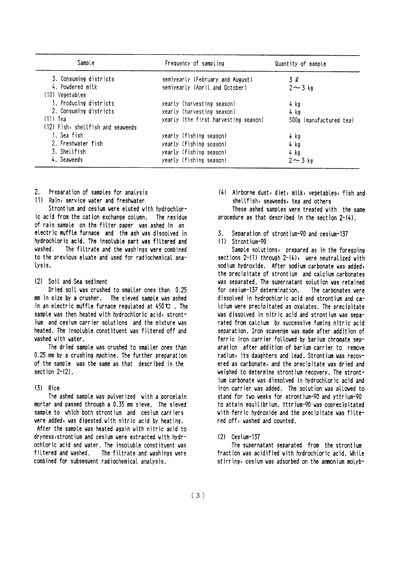| Sample                            | Frequency of sampling                | Quantity of sample      |  |  |
|-----------------------------------|--------------------------------------|-------------------------|--|--|
| 3. Consuming districts            | semiyearly (February and August)     | 3Q                      |  |  |
| 4. Powdered milk                  | semiyearly (April and October)       | $2 \sim 3$ kg           |  |  |
| (10) Vegetables                   |                                      |                         |  |  |
| 1. Producing districts            | yearly (harvesting season)           | 4 kg                    |  |  |
| 2. Consuming districts            | yearly (harvesting season)           | $4$ kg                  |  |  |
| $(11)$ Tea                        | yearly (the first harvesting season) | 500g (manufactured tea) |  |  |
| (12) Fish, shellfish and seaveeds |                                      |                         |  |  |
| 1. Sea fish                       | yearly (fishing season)              | 4 kg                    |  |  |
| 2. Freshvater fish                | yearly (fishing season)              | 4 kg                    |  |  |
| 3. Shellfish                      | yearly (fishing season)              | 4 kg                    |  |  |
| 4. Seaweeds                       | yearly (fishing season)              | $2 \sim 3$ kg           |  |  |

- Preparation of samples for analysis 2.
- (1) Rain, service water and freshwater

Strontium and cesium were eluted with hydrochloric acid from the cation exchange column. The residue of rain sample on the filter paper was ashed in an electric muffle furnace and the ash was dissolved in hydrochloric acid. The insoluble part was filtered and vashed The filtrate and the washings were combined to the previous eluate and used for radiochemical analysis.

#### (2) Soil and Sea sediment

Dried soil was crushed to smaller ones than 0.25 mm in size by a crusher. The sieved sample was ashed in an electric muffle furnace regulated at  $450 \, \text{C}$ . The sample was then heated with hydrochloric acid, strontium and cesium carrier solutions and the mixture was heated. The insoluble constituent was filtered off and washed with water.

The dried sample was crushed to smaller ones than 0.25 mm by a crushing machine. The further preparation of the sample was the same as that described in the section  $2-(2)$ .

### $(3)$  Rice

The ashed sample was pulverized with a porcelain mortar and passed through a 0.35 mm sieve. The sieved sample to which both strontium and cesium carriers were added, was digested with nitric acid by heating. After the sample was heated again with nitric acid to dryness, strontium and cesium were extracted with hydrochloric acid and water. The insoluble constituent was filtered and vashed. The filtrate and vashings vere combined for subsequent radiochemical analysis.

(4) Airborne dust, diet, milk, vegetables, fish and shellfish, seaweeds, tea and others

These ashed samples were treated with the same procedure as that described in the section  $2-(4)$ .

- $\mathbf{z}$ Separation of strontium-90 and cesium-137
- $(1)$  Strontium-90

Sample solutions, prepared as in the foregoing sections 2-(1) through 2-(4), were neutralized with sodium hydroxide. After sodium carbonate was added, the precipitate of strontium and calcium carbonates was separated. The supernatant solution was retained for cesium-137 determination. The carbonates vere dissolved in hydrochloric acid and strontium and ca-Icium were precipitated as oxalates. The precipitate was dissolved in nitric acid and strontium was separated from calcium by successive fuming nitric acid separation. Iron scavenge was made after addition of ferric iron carrier followed by barium chromate separation after addition of barium carrier to remove radium, its daughters and lead. Strontium was recovered as carbonate, and the precipitate was dried and weighed to determine strontium recovery. The strontjum carbonate was dissolved in hydrochloric acid and iron carrier was added. The solution was allowed to stand for two weeks for strontium-90 and yttrium-90 to attain equilibrium. Yttrium-90 was coprecipitated with ferric hydroxide and the precipitate was filtered off, washed and counted.

 $(2)$  Cesium-137

The supernatant separated from the strontium fraction was acidified with hydrochloric acid. While stirring, cesium was adsorbed on the ammonium molyb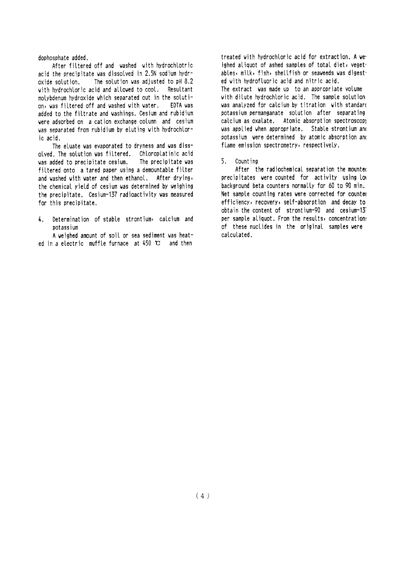dophosphate added.

After filtered off and washed with hydrochlotric acid the precipitate was dissolved in 2.5N sodium hydroxide solution. The solution was adiusted to pH 8.2 with hydrochloric acid and allowed to cool. Resultant molybdenum hydroxide which separated out in the solution, was filtered off and washed with water. EDTA vas added to the filtrate and washings. Cesium and rubidium were adsorbed on a cation exchange column and cesium was separated from rubidium by eluting with hydrochloric acid.

The eluate was evaporated to dryness and was dissolved. The solution was filtered. Chloroplatinic acid was added to precipitate cesium. The precipitate was filtered onto a tared paper using a demountable filter and washed with water and then ethanol. After drying, the chemical yield of cesium was determined by weighing the precipitate. Cesium-137 radioactivity was measured for this precipitate.

Determination of stable strontium, calcium and  $\mathbf{L}$ potassium

A weighed amount of soil or sea sediment was heated in a electric muffle furnace at  $450 \text{ C}$  and then

treated with hydrochloric acid for extraction. A veighed aliquot of ashed samples of total diet, yeget. ables, milk, fish, shellfish or seaweeds was digest. ed with hydrofluoric acid and nitric acid. The extract was made up to an appropriate volume with dilute hydrochloric acid. The sample solution was analyzed for calcium by titration with standard potassium permanganate solution after separating calcium as oxalate. Atomic absorption spectroscopy was applied when appropriate. Stable strontium and potassium were determined by atomic absorption and flame emission spectrometry, respectively.

5. Counting

After the radiochemical separation the mounted precipitates were counted for activity using low background beta counters normally for 60 to 90 min. Net sample counting rates were corrected for counter efficiency, recovery, self-absorption and decay to obtain the content of strontium-90 and cesium-13 per sample aliquot. From the results, concentration: of these nuclides in the original samples were calculated.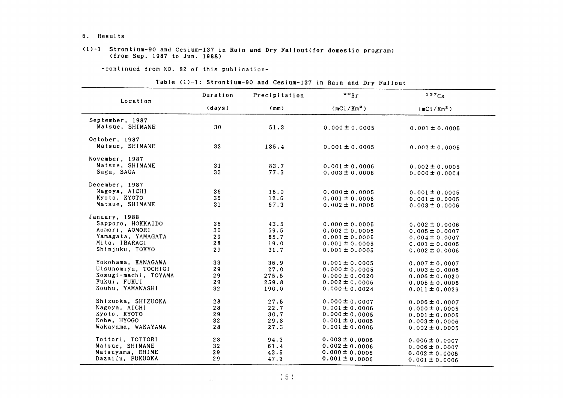#### 6. Results

#### (1)-1 Strontium-90 and Cesium-137 in Rain and Dry Fallout(for domestic program) (from Sep. 1987 to Jun. 1988)

-COntinued from NO.82 0f this publication-

|  | Table (1)-1: Strontium-90 and Cesium-137 in Rain and Dry Fallout |  |  |  |  |  |
|--|------------------------------------------------------------------|--|--|--|--|--|
|  |                                                                  |  |  |  |  |  |

 $\sim$ 

| Location             | Duration        | Precipitation | $\cdot$ $\cdot$ sr     | 137Cs                  |
|----------------------|-----------------|---------------|------------------------|------------------------|
|                      | (days)          | (mm)          | (mCi/Km <sup>2</sup> ) | (mCi/Km <sup>2</sup> ) |
| September, 1987      |                 |               |                        |                        |
| Matsue, SHIMANE      | 30              | 51.3          | $0.000 \pm 0.0005$     | $0.001 \pm 0.0005$     |
| October, 1987        |                 |               |                        |                        |
| Matsue, SHIMANE      | 32              | 135.4         | $0.001 \pm 0.0005$     | $0.002 \pm 0.0005$     |
| November, 1987       |                 |               |                        |                        |
| Matsue, SHIMANE      | 31              | 83.7          | $0.001 \pm 0.0006$     | $0.002 \pm 0.0005$     |
| Saga, SAGA           | 33              | 77.3          | $0.003 \pm 0.0006$     | $0.000 \pm 0.0004$     |
| December, 1987       |                 |               |                        |                        |
| Nagoya, AICHI        | 36              | 15.0          | $0.000 \pm 0.0005$     | $0.001 \pm 0.0005$     |
| Kyoto, KYOTO         | 35              | 12.6          | $0.001 \pm 0.0006$     | $0.001 \pm 0.0005$     |
| Matsue, SHIMANE      | 31              | 67.3          | $0.002 \pm 0.0005$     | $0.003 \pm 0.0006$     |
| January, 1988        |                 |               |                        |                        |
| Sapporo, HOKKAIDO    | 36              | 43.5          | $0.000 \pm 0.0005$     | $0.002 \pm 0.0006$     |
| Aomori, AOMORI       | 30              | 69.5          | $0.002 \pm 0.0006$     | $0.005 \pm 0.0007$     |
| Yamagata, YAMAGATA   | 29              | 85.7          | $0.001 \pm 0.0005$     | $0.004 \pm 0.0007$     |
| Mito, IBARAGI        | 28              | 19.0          | $0.001 \pm 0.0005$     | $0.001 \pm 0.0005$     |
| Shinjuku, TOKYO      | 29              | 31.7          | $0.001 \pm 0.0005$     | $0.002 \pm 0.0005$     |
| Yokohama, KANAGAWA   | 33              | 36.9          | $0.001 \pm 0.0005$     | $0.007 \pm 0.0007$     |
| Utsunomiya, TOCHIGI  | 29              | 27.0          | $0.000 \pm 0.0005$     | $0.003 \pm 0.0006$     |
| Kosugi-machi, TOYAMA | 29              | 275.5         | $0.000 \pm 0.0020$     | $0.006 \pm 0.0020$     |
| Fukui, FUKUI         | 29              | 259.8         | $0.002 \pm 0.0006$     | $0.005 \pm 0.0006$     |
| Kouhu, YAMANASHI     | 32 <sub>2</sub> | 190.0         | $0.000 \pm 0.0024$     | $0.011 \pm 0.0029$     |
| Shizuoka, SHIZUOKA   | 28              | 27.5          | $0.000 \pm 0.0007$     | $0.006 \pm 0.0007$     |
| Nagoya, AICHI        | 28              | 22.7          | $0.001 \pm 0.0006$     | $0.000 \pm 0.0005$     |
| Kyoto, KYOTO         | 29              | 30.7          | $0.000 \pm 0.0005$     | $0.001 \pm 0.0005$     |
| Kobe, HYOGO          | 32 <sub>2</sub> | 29.8          | $0.001 \pm 0.0005$     | $0.003 \pm 0.0006$     |
| Wakayama, WAKAYAMA   | 28              | 27.3          | $0.001 \pm 0.0005$     | $0.002 \pm 0.0005$     |
| Tottori, TOTTORI     | 28              | 94.3          | $0.003 \pm 0.0006$     | $0.006 \pm 0.0007$     |
| Matsue, SHIMANE      | 32 <sub>2</sub> | 61.4          | $0.002 \pm 0.0006$     | $0.006 \pm 0.0007$     |
| Matsuyama, EHIME     | 29              | 43.5          | $0.000 \pm 0.0005$     | $0.002 \pm 0.0005$     |
| Dazaifu, FUKUOKA     | 29              | 47.3          | $0.001 \pm 0.0006$     | $0.001 \pm 0.0006$     |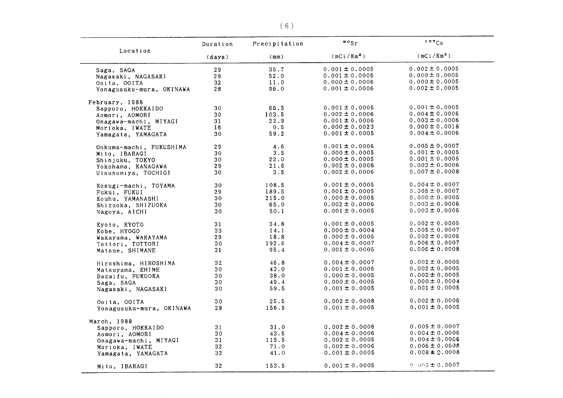|                          |                 |               | $\frac{90}{ST}$        | 137Cs              |
|--------------------------|-----------------|---------------|------------------------|--------------------|
| Location                 | Duration        | Precipitation |                        |                    |
|                          | (days)          | (mm)          | (mCi/Km <sup>2</sup> ) | $(mCi/Km^2)$       |
| Saga, SAGA               | 29              | 35.7          | $0.001 \pm 0.0005$     | $0.002 \pm 0.0005$ |
| Nagasaki, NAGASAKI       | 29              | 52.0          | $0.001 \pm 0.0005$     | $0.000 \pm 0.0005$ |
| Ooita, OOITA             | 32              | 11.0          | $0.000 \pm 0.0006$     | $0.000 \pm 0.0005$ |
| Yonagusuku-mura, OKINAWA | 28              | 96.0          | $0.001 \pm 0.0006$     | $0.002 \pm 0.0005$ |
|                          |                 |               |                        |                    |
| February, 1988           |                 |               |                        |                    |
| Sapporo, HOKKAIDO        | 30              | 66.5          | $0.001 \pm 0.0005$     | $0.001 \pm 0.0005$ |
| Aomori, AOMORI           | 30              | 103.5         | $0.002 \pm 0.0006$     | $0.004 \pm 0.0006$ |
| Onagawa-machi, MIYAGI    | 31              | 22.9          | $0.001 \pm 0.0006$     | $0.003 \pm 0.0006$ |
| Morioka, IWATE           | 16              | 0.5           | $0.000 \pm 0.0023$     | $0.000 \pm 0.0018$ |
| Yamagata, YAMAGATA       | 30              | 59.2          | $0.001 \pm 0.0005$     | $0.004 \pm 0.0006$ |
|                          | 29              | 4.6           | $0.001 \pm 0.0006$     | $0.005 \pm 0.0007$ |
| Ookuma-machi, FUKUSHIMA  |                 |               |                        | $0.001 \pm 0.0005$ |
| Mito, IBARAGI            | 30              | 3.5           | $0.000 \pm 0.0005$     |                    |
| Shinjuku, TOKYO          | 30              | 22.0          | $0.000 \pm 0.0005$     | $0.001 \pm 0.0005$ |
| Yokohama, KANAGAWA       | 29              | 21.6          | $0.002 \pm 0.0006$     | $0.003 \pm 0.0006$ |
| Utsunomiya, TOCHIGI      | 30              | 3.5           | $0.002 \pm 0.0006$     | $0.007 \pm 0.0008$ |
| Kosugi-machi, TOYAMA     | 30              | 108.5         | $0.001 \pm 0.0005$     | $0.004 \pm 0.0007$ |
| Fukui, FUKUI             | 29              | 189.5         | $0.001 \pm 0.0005$     | $0.005 \pm 0.0007$ |
| Kouhu, YAMANASHI         | 30              | 215.0         | $0.000 \pm 0.0005$     | $0.000 \pm 0.0005$ |
| Shizuoka, SHIZUOKA       | 30              | 65.0          | $0.002 \pm 0.0006$     | $0.003 \pm 0.0006$ |
|                          | 30              | 50.1          | $0.001 \pm 0.0005$     | $0.003 \pm 0.0006$ |
| Nagoya, AICHI            |                 |               |                        |                    |
| Kyoto, KYOTO             | 31              | 34.8          | $0.001 \pm 0.0005$     | $0.002 \pm 0.0005$ |
| Kobe, HYOGO              | 33              | 14.1          | $0.000 \pm 0.0004$     | $0.005 \pm 0.0007$ |
| Wakayama, WAKAYAMA       | 29              | 18.8          | $0.000 \pm 0.0005$     | $0.002 \pm 0.0006$ |
| Tottori, TOTTORI         | 30              | 192.6         | $0.004 \pm 0.0007$     | $0.006 \pm 0.0007$ |
| Matsue, SHIMANE          | 31              | 95.4          | $0.001 \pm 0.0005$     | $0.006 \pm 0.0008$ |
|                          | 32              | 46.8          | $0.004 \pm 0.0007$     | $0.002 \pm 0.0005$ |
| Hiroshima, HIROSHIMA     | 30              | 43.0          | $0.001 \pm 0.0005$     | $0.002 \pm 0.0005$ |
| Matsuyama, EHIME         |                 |               |                        | $0.002 \pm 0.0005$ |
| Dazaifu, FUKUOKA         | 30              | 38.0          | $0.000 \pm 0.0005$     | $0.000 \pm 0.0004$ |
| Saga, SAGA               | 30              | 49.4          | $0.000 \pm 0.0005$     |                    |
| Nagasaki, NAGASAKI       | 30              | 59.5          | $0.001 \pm 0.0005$     | $0.001 \pm 0.0005$ |
| Ooita, OOITA             | 30              | 25.5          | $0.002 \pm 0.0008$     | $0.002 \pm 0.0006$ |
| Yonagusuku-mura, OKINAWA | 29              | 156.5         | $0.001 \pm 0.0005$     | $0.001 \pm 0.0005$ |
|                          |                 |               |                        |                    |
| March, 1988              | 31              | 31.0          | $0.002 \pm 0.0006$     | $0.005 \pm 0.0007$ |
| Sapporo, HOKKAIDO        |                 |               |                        | $0.004 \pm 0.0006$ |
| Aomori, AOMORI           | 30              | 43.5          | $0.004 \pm 0.0006$     |                    |
| Onagawa-machi, MIYAGI    | 31              | 115.5         | $0.002 \pm 0.0005$     | $0.004 \pm 0.0006$ |
| Morioka, IWATE           | 32 <sub>2</sub> | 71.0          | $0.002 \pm 0.0006$     | $0.006 \pm 0.0008$ |
| Yamagata, YAMAGATA       | 32              | 41.0          | $0.001 \pm 0.0005$     | $0.008 \pm 0.0008$ |
| Mito, IBARAGI            | 32              | 153.5         | $0.001 \pm 0.0005$     | $0.005 \pm 0.0007$ |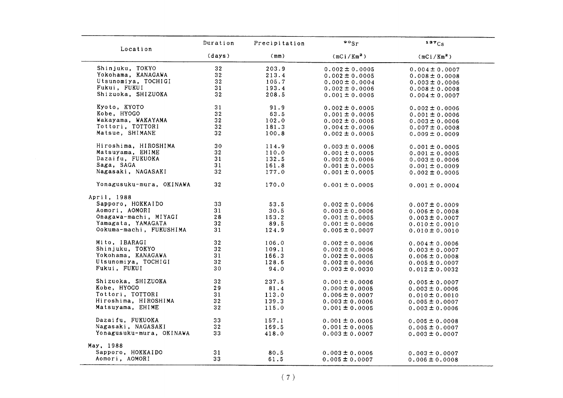| Location                 | Duration        | Precipitation | $\frac{80}{5}$         | 137Cs                  |
|--------------------------|-----------------|---------------|------------------------|------------------------|
|                          | (days)          | (mm)          | (mCi/Km <sup>2</sup> ) | (mCi/Km <sup>2</sup> ) |
| Shinjuku, TOKYO          | 32 <sub>2</sub> | 203.9         | $0.002 \pm 0.0005$     | $0.004 \pm 0.0007$     |
| Yokohama, KANAGAWA       | 32 <sub>2</sub> | 213.4         | $0.002 \pm 0.0005$     | $0.008 \pm 0.0008$     |
| Utsunomiya, TOCHIGI      | 32              | 105.7         | $0.000 \pm 0.0004$     | $0.003 \pm 0.0006$     |
| Fukui, FUKUI             | 31              | 193.4         | $0.002 \pm 0.0006$     | $0.008 \pm 0.0008$     |
| Shizuoka, SHIZUOKA       | 32              | 208.5         | $0.001 \pm 0.0005$     | $0.004 \pm 0.0007$     |
| Kyoto, KYOTO             | 31              | 91.9          | $0.002 \pm 0.0005$     | $0.002 \pm 0.0006$     |
| Kobe, HYOGO              | 32 <sub>2</sub> | 63.5          | $0.001 \pm 0.0005$     | $0.001 \pm 0.0006$     |
| Wakayama, WAKAYAMA       | 32              | 102.0         | $0.002 \pm 0.0005$     | $0.003 \pm 0.0006$     |
| Tottori, TOTTORI         | 32              | 181.3         | $0.004 \pm 0.0006$     |                        |
| Matsue, SHIMANE          | 32              | 100.8         |                        | $0.007 \pm 0.0008$     |
|                          |                 |               | $0.002 \pm 0.0005$     | $0.009 \pm 0.0009$     |
| Hiroshima, HIROSHIMA     | 30              | 114.9         | $0.003 \pm 0.0006$     | $0.001 \pm 0.0005$     |
| Matsuyama, EHIME         | 32              | 110.0         | $0.001 \pm 0.0005$     | $0.001 \pm 0.0005$     |
| Dazaifu, FUKUOKA         | 31              | 132.5         | $0.002 \pm 0.0006$     | $0.003 \pm 0.0006$     |
| Saga, SAGA               | 31              | 161.8         | $0.001 \pm 0.0005$     | $0.001 \pm 0.0009$     |
| Nagasaki, NAGASAKI       | 32              | 177.0         | $0.001 \pm 0.0005$     | $0.002 \pm 0.0005$     |
| Yonagusuku-mura, OKINAWA | 32              | 170.0         | $0.001 \pm 0.0005$     | $0.001 \pm 0.0004$     |
| April, 1988              |                 |               |                        |                        |
| Sapporo, HOKKAIDO        | 33              | 53.5          | $0.002 \pm 0.0006$     | $0.007 \pm 0.0009$     |
| Aomori, AOMORI           | 31              | 30.5          | $0.003 \pm 0.0006$     | $0.006 \pm 0.0008$     |
| Onagawa-machi, MIYAGI    | 28              | 153.2         | $0.001 \pm 0.0005$     | $0.003 \pm 0.0007$     |
| Yamagata, YAMAGATA       | 32              | 89.5          | $0.001 \pm 0.0006$     | $0.010 \pm 0.0010$     |
| Ookuma-machi, FUKUSHIMA  | 31              | 124.9         | $0.005 \pm 0.0007$     | $0.010 \pm 0.0010$     |
|                          | 32              |               |                        |                        |
| Mito, IBARAGI            |                 | 106.0         | $0.002 \pm 0.0006$     | $0.004 \pm 0.0006$     |
| Shinjuku, TOKYO          | 32              | 109.1         | $0.002 \pm 0.0006$     | $0.003 \pm 0.0007$     |
| Yokohama, KANAGAWA       | 31              | 166.3         | $0.002 \pm 0.0005$     | $0.006 \pm 0.0008$     |
| Utsunomiya, TOCHIGI      | 32              | 128.6         | $0.002 \pm 0.0006$     | $0.005 \pm 0.0007$     |
| Fukui, FUKUI             | 30              | 94.0          | $0.003 \pm 0.0030$     | $0.012 \pm 0.0032$     |
| Shizuoka, SHIZUOKA       | 32              | 237.5         | $0.001 \pm 0.0006$     | $0.005 \pm 0.0007$     |
| Kobe, HYOGO              | 29              | 81.4          | $0.000 \pm 0.0005$     | $0.003 \pm 0.0006$     |
| Tottori, TOTTORI         | 31              | 113.0         | $0.006 \pm 0.0007$     | $0.010 \pm 0.0010$     |
| Hiroshima, HIROSHIMA     | 32              | 139.3         | $0.003 \pm 0.0006$     | $0.005 \pm 0.0007$     |
| Matsuyama, EHIME         | 32              | 115.0         | $0.001 \pm 0.0005$     | $0.003 \pm 0.0006$     |
| Dazaifu, FUKUOKA         | 33              | 157.1         | $0.001 \pm 0.0005$     | $0.005 \pm 0.0008$     |
| Nagasaki, NAGASAKI       | 32              | 169.5         | $0.001 \pm 0.0005$     | $0.005 \pm 0.0007$     |
| Yonagusuku-mura, OKINAWA | 33              | 418.0         | $0.003 \pm 0.0007$     | $0.003 \pm 0.0007$     |
| May, 1988                |                 |               |                        |                        |
| Sapporo, HOKKAIDO        | 31              | 80.5          |                        |                        |
| Aomori, AOMORI           | 33              |               | $0.003 \pm 0.0006$     | $0.003 \pm 0.0007$     |
|                          |                 | 61.5          | $0.005 \pm 0.0007$     | $0.006 \pm 0.0008$     |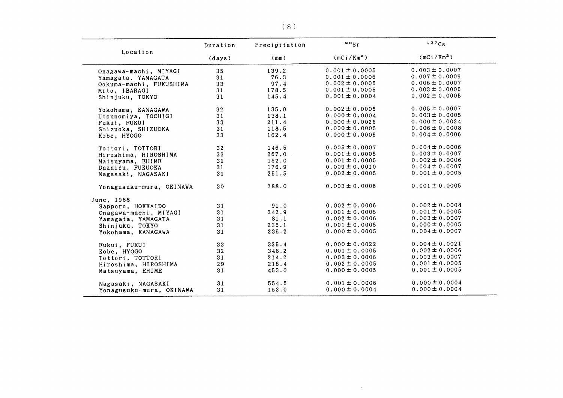|                          | Duration        | Precipitation | $\frac{80}{5}$ r       | 137Cs                  |  |
|--------------------------|-----------------|---------------|------------------------|------------------------|--|
| Location                 | (days)          | (mm)          | (mCi/Km <sup>2</sup> ) | (mCi/Km <sup>2</sup> ) |  |
| Onagawa-machi, MIYAGI    | 35              | 139.2         | $0.001 \pm 0.0005$     | $0.003 \pm 0.0007$     |  |
| Yamagata, YAMAGATA       | 31              | 76.3          | $0.001 \pm 0.0006$     | $0.007 \pm 0.0009$     |  |
| Ookuma-machi, FUKUSHIMA  | 33              | 97.4          | $0.002 \pm 0.0005$     | $0.006 \pm 0.0007$     |  |
| Mito, IBARAGI            | 31              | 178.5         | $0.001 \pm 0.0005$     | $0.003 \pm 0.0005$     |  |
| Shinjuku, TOKYO          | 31              | 145.4         | $0.001 \pm 0.0004$     | $0.002 \pm 0.0005$     |  |
| Yokohama, KANAGAWA       | 32              | 135.0         | $0.002 \pm 0.0005$     | $0.005 \pm 0.0007$     |  |
| Utsunomiya, TOCHIGI      | 31              | 138.1         | $0.000 \pm 0.0004$     | $0.003 \pm 0.0005$     |  |
| Fukui, FUKUI             | 33              | 211.4         | $0.000 \pm 0.0026$     | $0.000 \pm 0.0024$     |  |
| Shizuoka, SHIZUOKA       | 31              | 118.5         | $0.000 \pm 0.0005$     | $0.006 \pm 0.0008$     |  |
| Kobe, HYOGO              | 33              | 162.4         | $0.000 \pm 0.0005$     | $0.004 \pm 0.0006$     |  |
| Tottori, TOTTORI         | 32 <sub>2</sub> | 146.5         | $0.005 \pm 0.0007$     | $0.004 \pm 0.0006$     |  |
| Hiroshima, HIROSHIMA     | 33              | 267.0         | $0.001 \pm 0.0005$     | $0.003 \pm 0.0007$     |  |
| Matsuyama, EHIME         | 31              | 162.0         | $0.001 \pm 0.0005$     | $0.002 \pm 0.0006$     |  |
| Dazaifu, FUKUOKA         | 31              | 176.9         | $0.009 \pm 0.0010$     | $0.004 \pm 0.0007$     |  |
| Nagasaki, NAGASAKI       | 31              | 251.5         | $0.002 \pm 0.0005$     | $0.001 \pm 0.0005$     |  |
| Yonagusuku-mura, OKINAWA | 30              | 288.0         | $0.003 \pm 0.0006$     | $0.001 \pm 0.0005$     |  |
| June, 1988               |                 |               |                        |                        |  |
| Sapporo, HOKKAIDO        | 31              | 91.0          | $0.002 \pm 0.0006$     | $0.002 \pm 0.0008$     |  |
| Onagawa-machi, MIYAGI    | 31              | 242.9         | $0.001 \pm 0.0005$     | $0.001 \pm 0.0005$     |  |
| Yamagata, YAMAGATA       | 31              | 81.1          | $0.002 \pm 0.0006$     | $0.003 \pm 0.0007$     |  |
| Shinjuku, TOKYO          | 31              | 235.1         | $0.001 \pm 0.0005$     | $0.000 \pm 0.0005$     |  |
| Yokohama, KANAGAWA       | 31              | 235.2         | $0.000 \pm 0.0005$     | $0.004 \pm 0.0007$     |  |
| Fukui, FUKUI             | 33              | 325.4         | $0.000 \pm 0.0022$     | $0.004 \pm 0.0021$     |  |
| Kobe, HYOGO              | 32              | 348.2         | $0.001 \pm 0.0005$     | $0.002 \pm 0.0006$     |  |
| Tottori, TOTTORI         | 31              | 214.2         | $0.003 \pm 0.0006$     | $0.003 \pm 0.0007$     |  |
| Hiroshima, HIROSHIMA     | 29              | 216.4         | $0.002 \pm 0.0005$     | $0.001 \pm 0.0005$     |  |
| Matsuyama, EHIME         | 31              | 453.0         | $0.000 \pm 0.0005$     | $0.001 \pm 0.0005$     |  |
| Nagasaki, NAGASAKI       | 31              | 554.5         | $0.001 \pm 0.0006$     | $0.000 \pm 0.0004$     |  |
| Yonagusuku-mura, OKINAWA | 31              | 153.0         | $0.000 \pm 0.0004$     | $0.000 \pm 0.0004$     |  |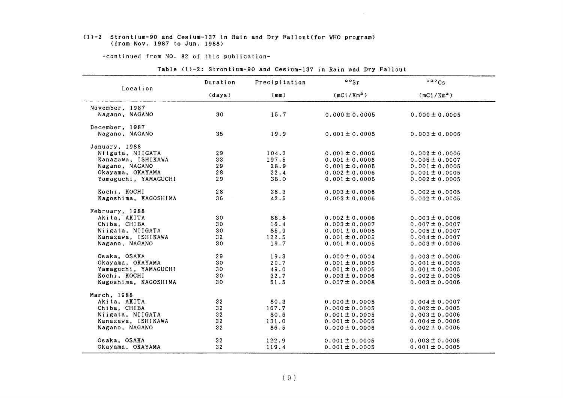#### (1)-2 Strontium-90 and Cesium-137in Rain and Dry Fal10ut(for WHO program) (from Nov. 1987 to Jun. 1988)

-COntinued from NO.82 0f this publication-

| Table (1)-2: Strontium-90 and Cesium-137 in Rain and Dry Fallout |  |  |  |  |  |
|------------------------------------------------------------------|--|--|--|--|--|
|                                                                  |  |  |  |  |  |

|                      | Duration        | Precipitation | $\frac{90}{s}$ r   | 137C <sub>S</sub>      |
|----------------------|-----------------|---------------|--------------------|------------------------|
| Location             | (days)          | (mm)          | $(mCi/Km^2)$       | (mCi/Km <sup>2</sup> ) |
| November, 1987       |                 |               |                    |                        |
| Nagano, NAGANO       | 30              | 15.7          | $0.000 \pm 0.0005$ | $0.000 \pm 0.0005$     |
| December, 1987       |                 |               |                    |                        |
| Nagano, NAGANO       | 35              | 19.9          | $0.001 \pm 0.0005$ | $0.003 \pm 0.0006$     |
| January, 1988        |                 |               |                    |                        |
| Niigata, NIIGATA     | 29              | 104.2         | $0.001 \pm 0.0005$ | $0.002 \pm 0.0006$     |
| Kanazawa, ISHIKAWA   | 33              | 197.5         | $0.001 \pm 0.0006$ | $0.005 \pm 0.0007$     |
| Nagano, NAGANO       | 29              | 28.9          | $0.001 \pm 0.0005$ | $0.001 \pm 0.0005$     |
| Okayama, OKAYAMA     | 28              | 22.4          | $0.002 \pm 0.0006$ | $0.001 \pm 0.0005$     |
| Yamaguchi, YAMAGUCHI | 29              | 38.0          | $0.001 \pm 0.0006$ | $0.002 \pm 0.0005$     |
| Kochi, KOCHI         | 28              | 38.3          | $0.003 \pm 0.0006$ | $0.002 \pm 0.0005$     |
| Kagoshima, KAGOSHIMA | 36              | 42.5          | $0.003 \pm 0.0006$ | $0.002 \pm 0.0005$     |
| February, 1988       |                 |               |                    |                        |
| Akita, AKITA         | 30              | 88.8          | $0.002 \pm 0.0006$ | $0.003 \pm 0.0006$     |
| Chiba, CHIBA         | 30              | 16.4          | $0.003 \pm 0.0007$ | $0.007 \pm 0.0007$     |
| Niigata, NIIGATA     | 30              | 85.9          | $0.001 \pm 0.0005$ | $0.005 \pm 0.0007$     |
| Kanazawa, ISHIKAWA   | 32              | 122.5         | $0.001 \pm 0.0005$ | $0.004 \pm 0.0007$     |
| Nagano, NAGANO       | 30              | 19.7          | $0.001 \pm 0.0005$ | $0.003 \pm 0.0006$     |
| Osaka, OSAKA         | 29              | 19.3          | $0.000 \pm 0.0004$ | $0.003 \pm 0.0006$     |
| Okayama, OKAYAMA     | 30              | 20.7          | $0.001 \pm 0.0005$ | $0.001 \pm 0.0005$     |
| Yamaguchi, YAMAGUCHI | 30              | 49.0          | $0.001 \pm 0.0006$ | $0.001 \pm 0.0005$     |
| Kochi, KOCHI         | 30              | 32.7          | $0.003 \pm 0.0006$ | $0.002 \pm 0.0005$     |
| Kagoshima, KAGOSHIMA | 30              | 51.5          | $0.007 \pm 0.0008$ | $0.003 \pm 0.0006$     |
| March, 1988          |                 |               |                    |                        |
| Akita, AKITA         | 32              | 80.3          | $0.000 \pm 0.0005$ | $0.004 \pm 0.0007$     |
| Chiba, CHIBA         | 32 <sub>2</sub> | 167.7         | $0.000 \pm 0.0005$ | $0.002 \pm 0.0005$     |
| Niigata, NIIGATA     | 32              | 80.6          | $0.001 \pm 0.0005$ | $0.003 \pm 0.0006$     |
| Kanazawa, ISHIKAWA   | 32              | 131.0         | $0.001 \pm 0.0005$ | $0.004 \pm 0.0006$     |
| Nagano, NAGANO       | 32 <sub>2</sub> | 86.5          | $0.000 \pm 0.0006$ | $0.002 \pm 0.0006$     |
| Osaka, OSAKA         | 32              | 122.9         | $0.001 \pm 0.0005$ | $0.003 \pm 0.0006$     |
| Okayama, OKAYAMA     | 32              | 119.4         | $0.001 \pm 0.0005$ | $0.001 \pm 0.0005$     |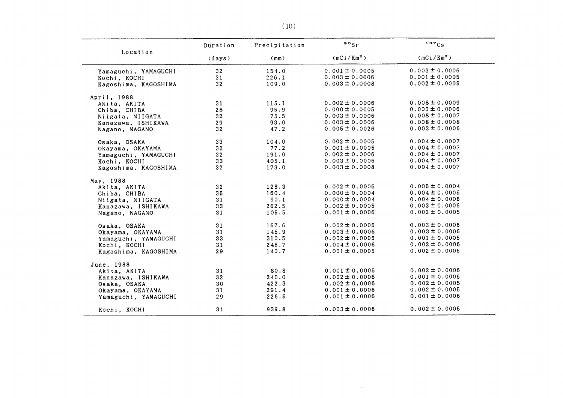|                      | Duration        | Precipitation | $\frac{80}{5}$         | 137Cs                  |
|----------------------|-----------------|---------------|------------------------|------------------------|
| Location             | (days)          | (mm)          | (mCi/Km <sup>2</sup> ) | (mCi/Km <sup>2</sup> ) |
| Yamaguchi, YAMAGUCHI | 32              | 154.0         | $0.001 \pm 0.0005$     | $0.003 \pm 0.0006$     |
| Kochi, KOCHI         | 31              | 226.1         | $0.003 \pm 0.0006$     | $0.001 \pm 0.0005$     |
| Kagoshima, KAGOSHIMA | 32              | 109.0         | $0.003 \pm 0.0008$     | $0.002 \pm 0.0005$     |
| April, 1988          |                 |               |                        |                        |
| Akita, AKITA         | 31              | 115.1         | $0.002 \pm 0.0006$     | $0.008 \pm 0.0009$     |
| Chiba, CHIBA         | 28              | 95.9          | $0.000 \pm 0.0005$     | $0.003 \pm 0.0006$     |
| Niigata, NIIGATA     | 32 <sub>2</sub> | 75.5          | $0.003 \pm 0.0006$     | $0.008 \pm 0.0007$     |
| Kanazawa, ISHIKAWA   | 29              | 93.0          | $0.003 \pm 0.0006$     | $0.008 \pm 0.0008$     |
| Nagano, NAGANO       | 32              | 47.2          | $0.005 \pm 0.0026$     | $0.003 \pm 0.0006$     |
| Osaka, OSAKA         | 33              | 104.0         | $0.002 \pm 0.0005$     | $0.004 \pm 0.0007$     |
| Okayama, OKAYAMA     | 32 <sub>2</sub> | 77.2          | $0.001 \pm 0.0005$     | $0.004 \pm 0.0007$     |
| Yamaguchi, YAMAGUCHI | 32              | 191.0         | $0.002 \pm 0.0006$     | $0.004 \pm 0.0007$     |
| Kochi, KOCHI         | 33              | 405.1         | $0.003 \pm 0.0006$     | $0.004 \pm 0.0007$     |
| Kagoshima, KAGOSHIMA | 32              | 173.0         | $0.003 \pm 0.0008$     | $0.004 \pm 0.0007$     |
| May, 1988            |                 |               |                        |                        |
| Akita, AKITA         | 32 <sub>2</sub> | 128.3         | $0.002 \pm 0.0006$     | $0.005 \pm 0.0004$     |
| Chiba, CHIBA         | 35              | 160.4         | $0.000 \pm 0.0004$     | $0.004 \pm 0.0005$     |
| Niigata, NIIGATA     | 31              | 90.1          | $0.000 \pm 0.0004$     | $0.004 \pm 0.0006$     |
| Kanazawa, ISHIKAWA   | 33              | 262.5         | $0.002 \pm 0.0005$     | $0.003 \pm 0.0006$     |
| Nagano, NAGANO       | 31              | 105.5         | $0.001 \pm 0.0006$     | $0.002 \pm 0.0005$     |
| Osaka, OSAKA         | 31              | 167.6         | $0.002 \pm 0.0005$     | $0.003 \pm 0.0006$     |
| Okayama, OKAYAMA     | 31              | 145.9         | $0.003 \pm 0.0006$     | $0.003 \pm 0.0006$     |
| Yamaguchi, YAMAGUCHI | 33              | 310.5         | $0.002 \pm 0.0005$     | $0.001 \pm 0.0005$     |
| Kochi, KOCHI         | 31              | 245.7         | $0.004 \pm 0.0006$     | $0.002 \pm 0.0006$     |
| Kagoshima, KAGOSHIMA | 29              | 140.7         | $0.001 \pm 0.0005$     | $0.002 \pm 0.0005$     |
| June, 1988           |                 |               |                        |                        |
| Akita. AKITA         | 31              | 80.8          | $0.001 \pm 0.0005$     | $0.002 \pm 0.0006$     |
| Kanazawa, ISHIKAWA   | 32              | 240.0         | $0.002 \pm 0.0006$     | $0.001 \pm 0.0005$     |
| Osaka, OSAKA         | 30              | 422.3         | $0.002 \pm 0.0006$     | $0.002 \pm 0.0005$     |
| Okayama, OKAYAMA     | 31              | 291.4         | $0.001 \pm 0.0006$     | $0.002 \pm 0.0005$     |
| Yamaguchi, YAMAGUCHI | 29              | 226.5         | $0.001 \pm 0.0006$     | $0.001 \pm 0.0006$     |
| Kochi, KOCHI         | 31              | 939.8         | $0.003 \pm 0.0006$     | $0.002 \pm 0.0005$     |

 $\sim$   $\sim$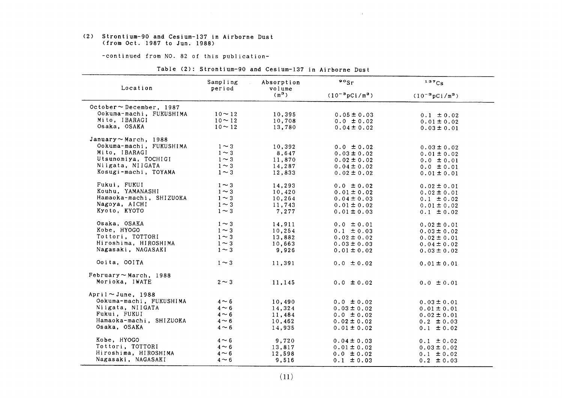#### (2) Strontium-90 and Cesium-137in Airborne Dust (from Oct.1987 to Jun.1988)

-continued from NO. 82 of this publication-

| Location                      | Sampling     | Absorption        | $\cdot$ $\cdot$            | 137Cs                               |
|-------------------------------|--------------|-------------------|----------------------------|-------------------------------------|
|                               | period       | volume<br>$(m^3)$ | $(10^{-3} \text{pCi/m}^3)$ | $(10^{-3} \text{pCi} / \text{m}^3)$ |
| October $\sim$ December, 1987 |              |                   |                            |                                     |
| Ookuma-machi, FUKUSHIMA       | $10 - 12$    | 10,395            | $0.05 \pm 0.03$            | $0.1 \pm 0.02$                      |
| Mito, IBARAGI                 | $10 \sim 12$ | 10,708            | $0.0 \pm 0.02$             | $0.01 \pm 0.02$                     |
| Osaka, OSAKA                  | $10 - 12$    | 13,780            | $0.04 \pm 0.02$            | $0.03 \pm 0.01$                     |
| January $\sim$ March, 1988    |              |                   |                            |                                     |
| Ookuma-machi, FUKUSHIMA       | $1 \sim 3$   | 10,392            | $0.0 \pm 0.02$             | $0.03 \pm 0.02$                     |
| Mito, IBARAGI                 | $1 \sim 3$   | 8,647             | $0.03 \pm 0.02$            | $0.01 \pm 0.02$                     |
| Utsunomiya, TOCHIGI           | $1 \sim 3$   | 11,870            | $0.02 \pm 0.02$            | $0.0 \pm 0.01$                      |
| Niigata, NIIGATA              | $1 \sim 3$   | 14,287            | $0.04 \pm 0.02$            | $0.0 \pm 0.01$                      |
| Kosugi-machi, TOYAMA          | $1 \sim 3$   | 12,833            | $0.02 \pm 0.02$            | $0.01 \pm 0.01$                     |
| Fukui, FUKUI                  | $1 \sim 3$   | 14,293            | $0.0 \pm 0.02$             | $0.02 \pm 0.01$                     |
| Kouhu, YAMANASHI              | $1 \sim 3$   | 10,420            | $0.01 \pm 0.02$            | $0.02 \pm 0.01$                     |
| Hamaoka-machi, SHIZUOKA       | $1 \sim 3$   | 10,264            | $0.04 \pm 0.03$            | $0.1 \pm 0.02$                      |
| Nagoya, AICHI                 | $1 \sim 3$   | 11,743            | $0.01 \pm 0.02$            | $0.01 \pm 0.02$                     |
| Kyoto, KYOTO                  | $1 \sim 3$   | 7,277             | $0.01 \pm 0.03$            | $0.1 \pm 0.02$                      |
| Osaka, OSAKA                  | $1 \sim 3$   | 14,911            | $0.0 \pm 0.01$             | $0.02 \pm 0.01$                     |
| Kobe, HYOGO                   | $1 \sim 3$   | 10,254            | $0.1 \pm 0.03$             | $0.03 \pm 0.02$                     |
| Tottori, TOTTORI              | $1 \sim 3$   | 13,882            | $0.02 \pm 0.02$            | $0.02 \pm 0.01$                     |
| Hiroshima, HIROSHIMA          | $1 \sim 3$   | 10,663            | $0.03 \pm 0.03$            | $0.04 \pm 0.02$                     |
| Nagasaki, NAGASAKI            | $1 \sim 3$   | 9,926             | $0.01 \pm 0.02$            | $0.03 \pm 0.02$                     |
| Ooita, OOITA                  | $1 \sim 3$   | 11,391            | $0.0 \pm 0.02$             | $0.01 \pm 0.01$                     |
| February $\sim$ March, 1988   |              |                   |                            |                                     |
| Morioka, IWATE                | $2 \sim 3$   | 11,145            | $0.0 \pm 0.02$             | $0.0 \pm 0.01$                      |
| April ~June, 1988             |              |                   |                            |                                     |
| Ookuma-machi, FUKUSHIMA       | $4 \sim 6$   | 10,490            | $0.0 \pm 0.02$             | $0.03 \pm 0.01$                     |
| Niigata, NIIGATA              | $4 \sim 6$   | 14,324            | $0.03 \pm 0.02$            | $0.01 \pm 0.01$                     |
| Fukui, FUKUI                  | $4 \sim 6$   | 11,484            | $0.0 \pm 0.02$             | $0.02 \pm 0.01$                     |
| Hamaoka-machi, SHIZUOKA       | $4 \sim 6$   | 10,462            | $0.02 \pm 0.02$            | $0.2 \pm 0.03$                      |
| Osaka, OSAKA                  | $4 \sim 6$   | 14,935            | $0.01 \pm 0.02$            | $0.1 \pm 0.02$                      |
| Kobe, HYOGO                   | $4 \sim 6$   | 9,720             | $0.04 \pm 0.03$            | $0.1 \pm 0.02$                      |
| Tottori, TOTTORI              | $4 \sim 6$   | 13,817            | $0.01 \pm 0.02$            | $0.03 \pm 0.02$                     |
| Hiroshima, HIROSHIMA          | $4 \sim 6$   | 12,598            | $0.0 \pm 0.02$             | $0.1 \pm 0.02$                      |
| Nagasaki, NAGASAKI            | $4 \sim 6$   | 9,516             | $0.1 \pm 0.03$             | $0.2 \pm 0.03$                      |

|  | Table (2): Strontium-90 and Cesium-137 in Airborne Dust |  |  |  |
|--|---------------------------------------------------------|--|--|--|
|  |                                                         |  |  |  |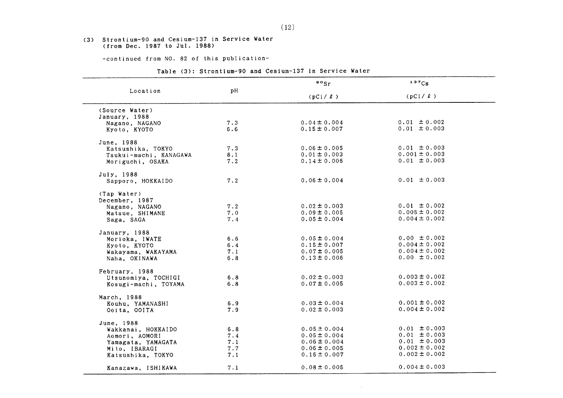#### (3) Strontium-90 and Cesium-137 in Service Water (from Dec. 1987 to Jul. 1988)

-COntinued from NO.82 0f this publication-

|  | Table (3): Strontium-90 and Cesium-137 in Service Water |  |  |  |  |  |  |
|--|---------------------------------------------------------|--|--|--|--|--|--|
|--|---------------------------------------------------------|--|--|--|--|--|--|

|                        |     | $\frac{80}{5}$ r | 137Cs             |  |
|------------------------|-----|------------------|-------------------|--|
| Location               | pH  | (pCi /l)         | (pCi /l)          |  |
| (Source Water)         |     |                  |                   |  |
| January, 1988          |     |                  |                   |  |
| Nagano, NAGANO         | 7.3 | $0.04 \pm 0.004$ | $0.01 \pm 0.002$  |  |
| Kyoto, KYOTO           | 6.6 | $0.15 \pm 0.007$ | $0.01 \pm 0.003$  |  |
| June, 1988             |     |                  |                   |  |
| Katsushika, TOKYO      | 7.3 | $0.06 \pm 0.005$ | $0.01 \pm 0.003$  |  |
| Tsukui-machi, KANAGAWA | 8.1 | $0.01 \pm 0.003$ | $0.001 \pm 0.003$ |  |
| Moriguchi, OSAKA       | 7.2 | $0.14 \pm 0.006$ | $0.01 \pm 0.003$  |  |
| July, 1988             |     |                  |                   |  |
| Sapporo, HOKKAIDO      | 7.2 | $0.06 \pm 0.004$ | $0.01 \pm 0.003$  |  |
| (Tap Water)            |     |                  |                   |  |
| December, 1987         |     |                  |                   |  |
| Nagano, NAGANO         | 7.2 | $0.02 \pm 0.003$ | $0.01 \pm 0.002$  |  |
| Matsue, SHIMANE        | 7.0 | $0.09 \pm 0.005$ | $0.005 \pm 0.002$ |  |
| Saga, SAGA             | 7.4 | $0.05 \pm 0.004$ | $0.004 \pm 0.002$ |  |
| January, 1988          |     |                  |                   |  |
| Morioka, IWATE         | 6.6 | $0.05 \pm 0.004$ | $0.00 \pm 0.002$  |  |
| Kyoto, KYOTO           | 6.4 | $0.15 \pm 0.007$ | $0.004 \pm 0.002$ |  |
| Wakayama, WAKAYAMA     | 7.1 | $0.07 \pm 0.005$ | $0.004 \pm 0.002$ |  |
| Naha, OKINAWA          | 6.8 | $0.13 \pm 0.006$ | $0.00 \pm 0.002$  |  |
| February, 1988         |     |                  |                   |  |
| Utsunomiya, TOCHIGI    | 6.8 | $0.02 \pm 0.003$ | $0.003 \pm 0.002$ |  |
| Kosugi-machi, TOYAMA   | 6.8 | $0.07 \pm 0.005$ | $0.003 \pm 0.002$ |  |
| March, 1988            |     |                  |                   |  |
| Kouhu, YAMANASHI       | 6.9 | $0.03 \pm 0.004$ | $0.001 \pm 0.002$ |  |
| Ooita, OOITA           | 7.9 | $0.02 \pm 0.003$ | $0.004 \pm 0.002$ |  |
| June, 1988             |     |                  |                   |  |
| Wakkanai, HOKKAIDO     | 6.8 | $0.05 \pm 0.004$ | $0.01 \pm 0.003$  |  |
| Aomori, AOMORI         | 7.4 | $0.05 \pm 0.004$ | $0.01 \pm 0.003$  |  |
| Yamagata, YAMAGATA     | 7.1 | $0.06 \pm 0.004$ | $0.01 \pm 0.003$  |  |
| Mito, IBARAGI          | 7.7 | $0.06 \pm 0.005$ | $0.002 \pm 0.002$ |  |
| Katsushika, TOKYO      | 7.1 | $0.16 \pm 0.007$ | $0.002 \pm 0.002$ |  |
| Kanazawa, ISHIKAWA     | 7.1 | $0.08 \pm 0.005$ | $0.004 \pm 0.003$ |  |

 $\sim 10^{11}$  km s  $^{-1}$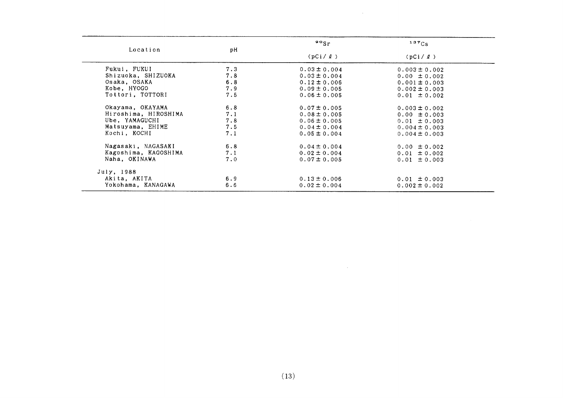|                      |     | $\frac{80}{5}$   | 137Cs<br>(pCi /l) |  |
|----------------------|-----|------------------|-------------------|--|
| Location             | рH  | (pCi/2)          |                   |  |
| Fukui, FUKUI         | 7.3 | $0.03 \pm 0.004$ | $0.003 \pm 0.002$ |  |
| Shizuoka, SHIZUOKA   | 7.8 | $0.03 \pm 0.004$ | $0.00 \pm 0.002$  |  |
| Osaka, OSAKA         | 6.8 | $0.12 \pm 0.006$ | $0.001 \pm 0.003$ |  |
| Kobe, HYOGO          | 7.9 | $0.09 \pm 0.005$ | $0.002 \pm 0.003$ |  |
| Tottori, TOTTORI     | 7.5 | $0.06 \pm 0.005$ | $0.01 \pm 0.002$  |  |
| Okayama, OKAYAMA     | 6.8 | $0.07 \pm 0.005$ | $0.003 \pm 0.002$ |  |
| Hiroshima, HIROSHIMA | 7.1 | $0.08 \pm 0.005$ | $0.00 \pm 0.003$  |  |
| Ube, YAMAGUCHI       | 7.8 | $0.06 \pm 0.005$ | $0.01 \pm 0.003$  |  |
| Matsuyama, EHIME     | 7.5 | $0.04 \pm 0.004$ | $0.004 \pm 0.003$ |  |
| Kochi, KOCHI         | 7.1 | $0.05 \pm 0.004$ | $0.004 \pm 0.003$ |  |
| Nagasaki, NAGASAKI   | 6.8 | $0.04 \pm 0.004$ | $0.00 \pm 0.002$  |  |
| Kagoshima, KAGOSHIMA | 7.1 | $0.02 \pm 0.004$ | $0.01 \pm 0.002$  |  |
| Naha, OKINAWA        | 7.0 | $0.07 \pm 0.005$ | $0.01 \pm 0.003$  |  |
| July, 1988           |     |                  |                   |  |
| Akita, AKITA         | 6.9 | $0.13 \pm 0.006$ | $0.01 \pm 0.003$  |  |
| Yokohama, KANAGAWA   | 6.6 | $0.02 \pm 0.004$ | $0.002 \pm 0.002$ |  |

 $\sim$   $\mu$  .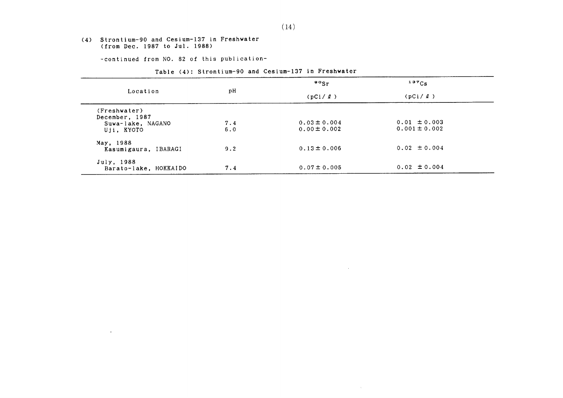#### (4) Strontium-90 and Cesium-137 in Freshwater (from Dec.1987 to Jul.1988)

 $\sim$ 

-COntinued from NO.82 0f this publication-

#### Table (4): Strontium-90 and Cesium-137 in Freshwater

|                                 | рH  | $\frac{90}{5}$ r | 137Cs             |
|---------------------------------|-----|------------------|-------------------|
| Location                        |     | (pCi/2)          | (pCi/2)           |
| (Freshwater)                    |     |                  |                   |
| December, 1987                  | 7.4 | $0.03 \pm 0.004$ | $0.01 \pm 0.003$  |
| Suwa-lake, NAGANO<br>Uji, KYOTO | 6.0 | $0.00 \pm 0.002$ | $0.001 \pm 0.002$ |
| May, 1988                       |     |                  |                   |
| Kasumigaura, IBARAGI            | 9.2 | $0.13 \pm 0.006$ | $0.02 \pm 0.004$  |
| July, 1988                      |     |                  |                   |
| Barato-lake, HOKKAIDO           | 7.4 | $0.07 \pm 0.005$ | $0.02 \pm 0.004$  |

 $\sim 100$  km s  $^{-1}$ 

 $\sim 0.5$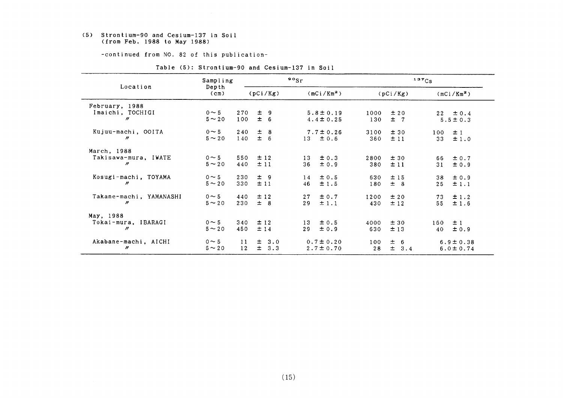#### (5) Strontium-90 and Cesium-137in Soil (from Feb.1988 to May1988)

-COntinued from NO.82 0f this publication-

|                                                       | Sampling                  |                                       | $^{90}$ Sr                                  | 137C <sub>S</sub>                    |                                  |  |
|-------------------------------------------------------|---------------------------|---------------------------------------|---------------------------------------------|--------------------------------------|----------------------------------|--|
| Location                                              | Depth<br>$(c_m)$          | (pCi/Kg)                              | (mCi/Km <sup>2</sup> )                      | (pCi/Kg)                             | $(mCi/Km^2)$                     |  |
| February, 1988<br>Imaichi, TOCHIGI<br>$\prime\prime$  | $0 \sim 5$<br>$5 \sim 20$ | 270<br>± 9<br>± 6<br>100              | $5.8 \pm 0.19$<br>$4.4 \pm 0.25$            | ±20<br>1000<br>$\pm$ 7<br>130        | $22 \pm 0.4$<br>$5.5 \pm 0.3$    |  |
| Kujuu-machi, OOITA<br>$\prime\prime$                  | $0 \sim 5$<br>$5 \sim 20$ | $\pm$<br>240<br>- 8<br>$\pm$ 6<br>140 | $7.7 \pm 0.26$<br>$13 \pm 0.6$              | 3100<br>±30<br>±11<br>360            | ±1<br>100<br>33<br>±1.0          |  |
| March, 1988<br>Takisawa-mura, IWATE<br>$\prime\prime$ | $0 \sim 5$<br>$5 - 20$    | ± 12<br>550<br>±11<br>440             | $\pm 0.3$<br>13<br>36<br>$\pm 0.9$          | 2800<br>±30<br>380<br>±11            | ± 0.7<br>66<br>31<br>± 0.9       |  |
| Kosugi-machi, TOYAMA<br>"                             | $0 \sim 5$<br>$5 - 20$    | 230<br>± 9<br>±11<br>330              | $\pm 0.5$<br>14<br>46<br>±1.5               | ±15<br>630<br>± 8<br>180             | $\pm 0.9$<br>38<br>25<br>±1.1    |  |
| Takane-machi, YAMANASHI<br>$\prime\prime$             | $0 \sim 5$<br>$5 \sim 20$ | ± 12<br>440<br>$±$ 8<br>230           | ± 0.7<br>27<br>29<br>±1.1                   | 1200<br>±20<br>±12<br>430            | 73<br>±1.2<br>55<br>±1.6         |  |
| May, 1988<br>Tokai-mura, IBARAGI<br>$^{\prime\prime}$ | $0 \sim 5$<br>$5 - 20$    | 340<br>±12<br>450<br>±14              | ± 0.5<br>13 <sub>1</sub><br>29<br>$\pm 0.9$ | ±30<br>4000<br>±13<br>630            | ±1<br>160<br>40<br>±0.9          |  |
| Akabane-machi, AICHI<br>"                             | $0 \sim 5$<br>$5 \sim 20$ | $\pm$ 3.0<br>11<br>12<br>$\pm$<br>3.3 | $0.7 \pm 0.20$<br>$2.7 \pm 0.70$            | 100<br>士<br>-6<br>$\pm$<br>28<br>3.4 | $6.9 \pm 0.38$<br>$6.0 \pm 0.74$ |  |

Table (5): Strontium-90 and Cesium-137 in Soil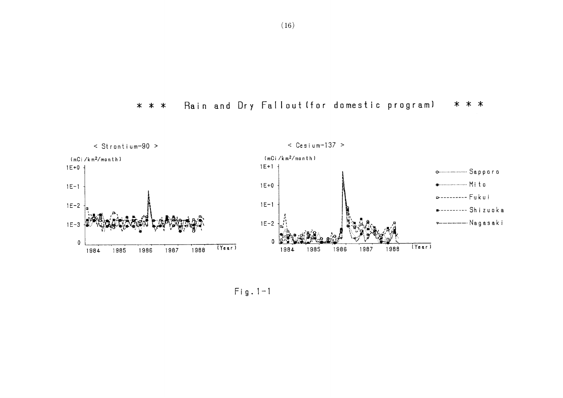



 $Fig. 1-1$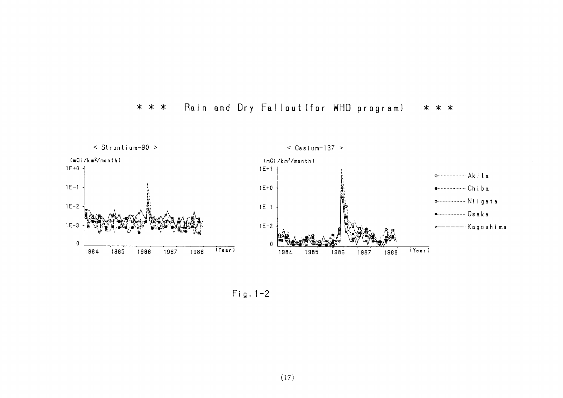



Fig.  $1-2$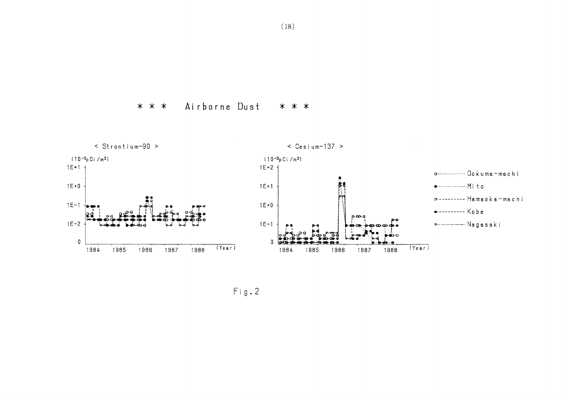Airborne Dust \* \* \* \* \* \*



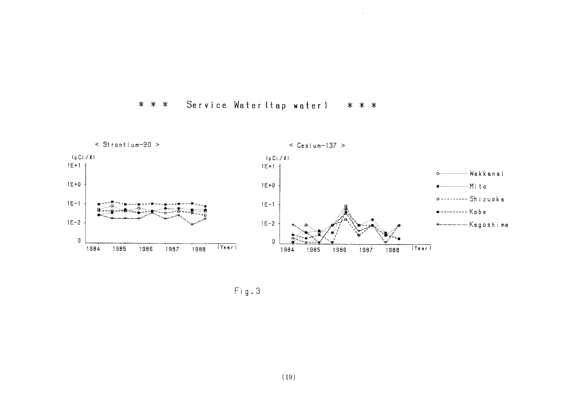#### Service Water (tap water) \* \* \* \* \* \*



 $Fig. 3$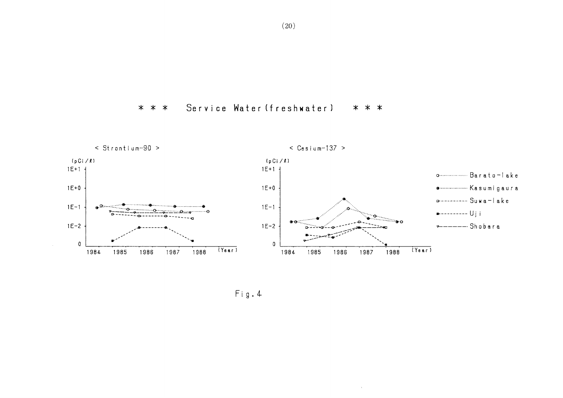



 $\langle \cdot, \cdot \rangle$ 

 $Fig. 4$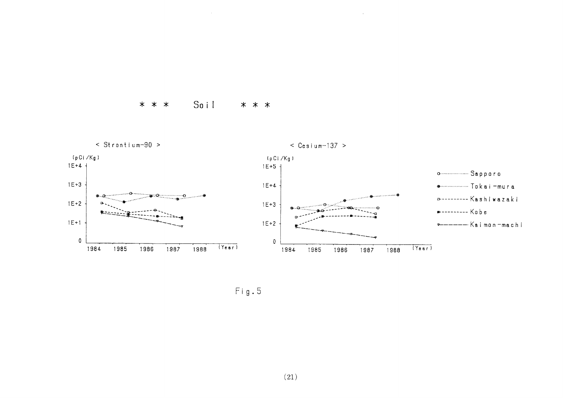#### Soil  $* * *$ \* \* \*



 $Fig. 5$